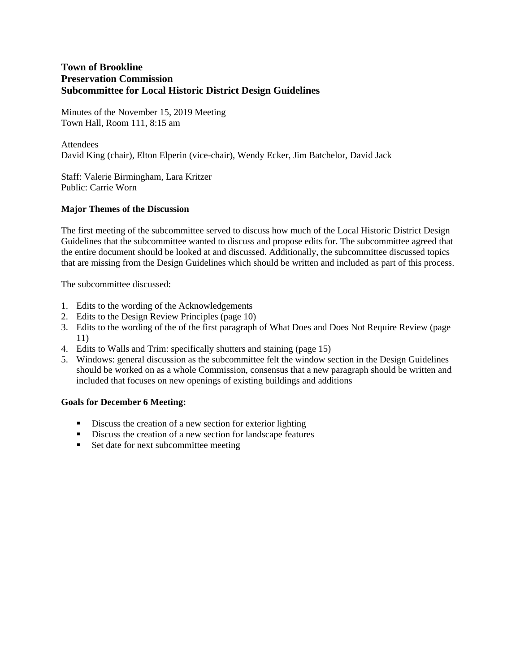Minutes of the November 15, 2019 Meeting Town Hall, Room 111, 8:15 am

## Attendees

David King (chair), Elton Elperin (vice-chair), Wendy Ecker, Jim Batchelor, David Jack

Staff: Valerie Birmingham, Lara Kritzer Public: Carrie Worn

## **Major Themes of the Discussion**

The first meeting of the subcommittee served to discuss how much of the Local Historic District Design Guidelines that the subcommittee wanted to discuss and propose edits for. The subcommittee agreed that the entire document should be looked at and discussed. Additionally, the subcommittee discussed topics that are missing from the Design Guidelines which should be written and included as part of this process.

The subcommittee discussed:

- 1. Edits to the wording of the Acknowledgements
- 2. Edits to the Design Review Principles (page 10)
- 3. Edits to the wording of the of the first paragraph of What Does and Does Not Require Review (page 11)
- 4. Edits to Walls and Trim: specifically shutters and staining (page 15)
- 5. Windows: general discussion as the subcommittee felt the window section in the Design Guidelines should be worked on as a whole Commission, consensus that a new paragraph should be written and included that focuses on new openings of existing buildings and additions

## **Goals for December 6 Meeting:**

- Discuss the creation of a new section for exterior lighting
- Discuss the creation of a new section for landscape features
- Set date for next subcommittee meeting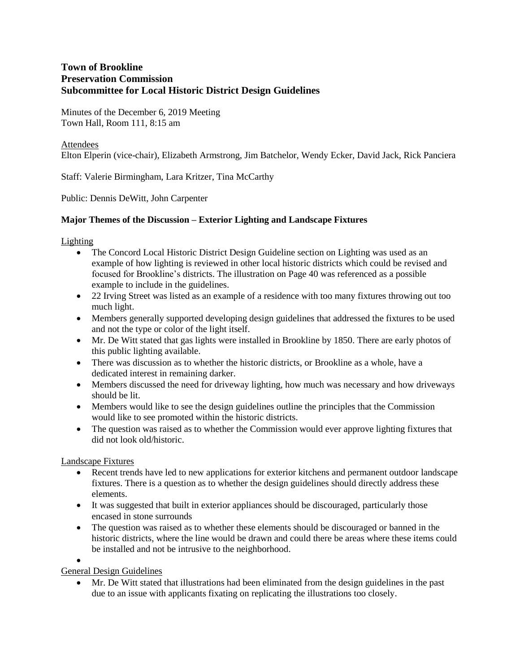Minutes of the December 6, 2019 Meeting Town Hall, Room 111, 8:15 am

### Attendees

Elton Elperin (vice-chair), Elizabeth Armstrong, Jim Batchelor, Wendy Ecker, David Jack, Rick Panciera

Staff: Valerie Birmingham, Lara Kritzer, Tina McCarthy

Public: Dennis DeWitt, John Carpenter

## **Major Themes of the Discussion – Exterior Lighting and Landscape Fixtures**

Lighting

- The Concord Local Historic District Design Guideline section on Lighting was used as an example of how lighting is reviewed in other local historic districts which could be revised and focused for Brookline's districts. The illustration on Page 40 was referenced as a possible example to include in the guidelines.
- 22 Irving Street was listed as an example of a residence with too many fixtures throwing out too much light.
- Members generally supported developing design guidelines that addressed the fixtures to be used and not the type or color of the light itself.
- Mr. De Witt stated that gas lights were installed in Brookline by 1850. There are early photos of this public lighting available.
- There was discussion as to whether the historic districts, or Brookline as a whole, have a dedicated interest in remaining darker.
- Members discussed the need for driveway lighting, how much was necessary and how driveways should be lit.
- Members would like to see the design guidelines outline the principles that the Commission would like to see promoted within the historic districts.
- The question was raised as to whether the Commission would ever approve lighting fixtures that did not look old/historic.

Landscape Fixtures

- Recent trends have led to new applications for exterior kitchens and permanent outdoor landscape fixtures. There is a question as to whether the design guidelines should directly address these elements.
- It was suggested that built in exterior appliances should be discouraged, particularly those encased in stone surrounds
- The question was raised as to whether these elements should be discouraged or banned in the historic districts, where the line would be drawn and could there be areas where these items could be installed and not be intrusive to the neighborhood.

 $\bullet$ General Design Guidelines

> Mr. De Witt stated that illustrations had been eliminated from the design guidelines in the past due to an issue with applicants fixating on replicating the illustrations too closely.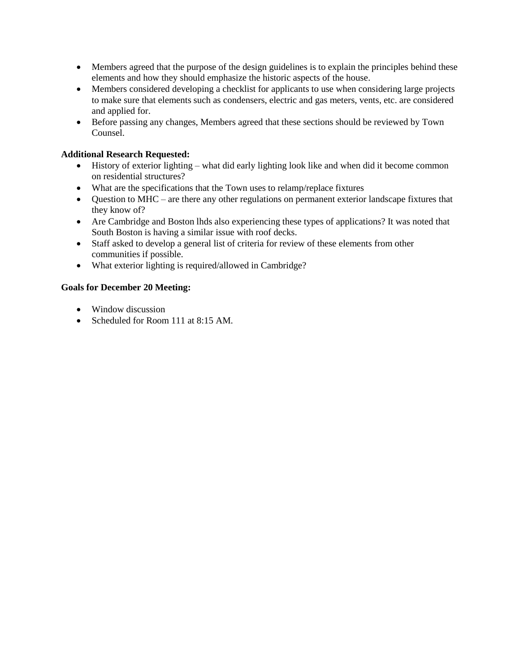- Members agreed that the purpose of the design guidelines is to explain the principles behind these elements and how they should emphasize the historic aspects of the house.
- Members considered developing a checklist for applicants to use when considering large projects to make sure that elements such as condensers, electric and gas meters, vents, etc. are considered and applied for.
- Before passing any changes, Members agreed that these sections should be reviewed by Town Counsel.

### **Additional Research Requested:**

- History of exterior lighting what did early lighting look like and when did it become common on residential structures?
- What are the specifications that the Town uses to relamp/replace fixtures
- Question to MHC are there any other regulations on permanent exterior landscape fixtures that they know of?
- Are Cambridge and Boston lhds also experiencing these types of applications? It was noted that South Boston is having a similar issue with roof decks.
- Staff asked to develop a general list of criteria for review of these elements from other communities if possible.
- What exterior lighting is required/allowed in Cambridge?

### **Goals for December 20 Meeting:**

- Window discussion
- Scheduled for Room 111 at 8:15 AM.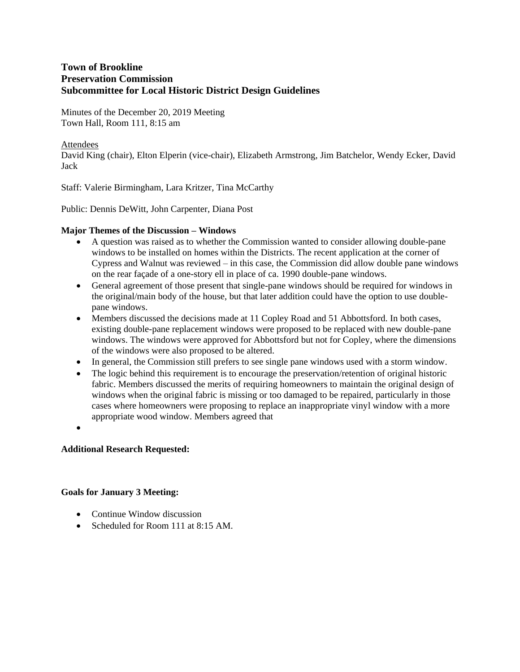Minutes of the December 20, 2019 Meeting Town Hall, Room 111, 8:15 am

### Attendees

David King (chair), Elton Elperin (vice-chair), Elizabeth Armstrong, Jim Batchelor, Wendy Ecker, David Jack

Staff: Valerie Birmingham, Lara Kritzer, Tina McCarthy

Public: Dennis DeWitt, John Carpenter, Diana Post

### **Major Themes of the Discussion – Windows**

- A question was raised as to whether the Commission wanted to consider allowing double-pane windows to be installed on homes within the Districts. The recent application at the corner of Cypress and Walnut was reviewed – in this case, the Commission did allow double pane windows on the rear façade of a one-story ell in place of ca. 1990 double-pane windows.
- General agreement of those present that single-pane windows should be required for windows in the original/main body of the house, but that later addition could have the option to use doublepane windows.
- Members discussed the decisions made at 11 Copley Road and 51 Abbottsford. In both cases, existing double-pane replacement windows were proposed to be replaced with new double-pane windows. The windows were approved for Abbottsford but not for Copley, where the dimensions of the windows were also proposed to be altered.
- In general, the Commission still prefers to see single pane windows used with a storm window.
- The logic behind this requirement is to encourage the preservation/retention of original historic fabric. Members discussed the merits of requiring homeowners to maintain the original design of windows when the original fabric is missing or too damaged to be repaired, particularly in those cases where homeowners were proposing to replace an inappropriate vinyl window with a more appropriate wood window. Members agreed that
- $\bullet$

#### **Additional Research Requested:**

#### **Goals for January 3 Meeting:**

- Continue Window discussion
- Scheduled for Room 111 at 8:15 AM.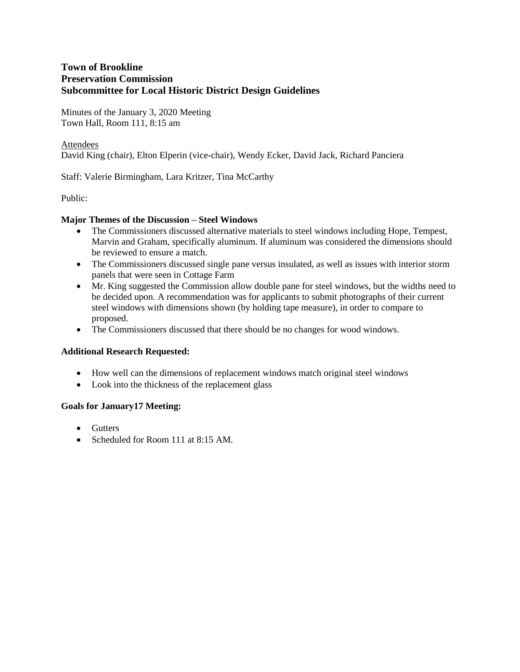Minutes of the January 3, 2020 Meeting Town Hall, Room 111, 8:15 am

### Attendees

David King (chair), Elton Elperin (vice-chair), Wendy Ecker, David Jack, Richard Panciera

Staff: Valerie Birmingham, Lara Kritzer, Tina McCarthy

Public:

### **Major Themes of the Discussion – Steel Windows**

- The Commissioners discussed alternative materials to steel windows including Hope, Tempest, Marvin and Graham, specifically aluminum. If aluminum was considered the dimensions should be reviewed to ensure a match.
- The Commissioners discussed single pane versus insulated, as well as issues with interior storm panels that were seen in Cottage Farm
- Mr. King suggested the Commission allow double pane for steel windows, but the widths need to be decided upon. A recommendation was for applicants to submit photographs of their current steel windows with dimensions shown (by holding tape measure), in order to compare to proposed.
- The Commissioners discussed that there should be no changes for wood windows.

#### **Additional Research Requested:**

- How well can the dimensions of replacement windows match original steel windows
- Look into the thickness of the replacement glass

#### **Goals for January17 Meeting:**

- Gutters
- Scheduled for Room 111 at 8:15 AM.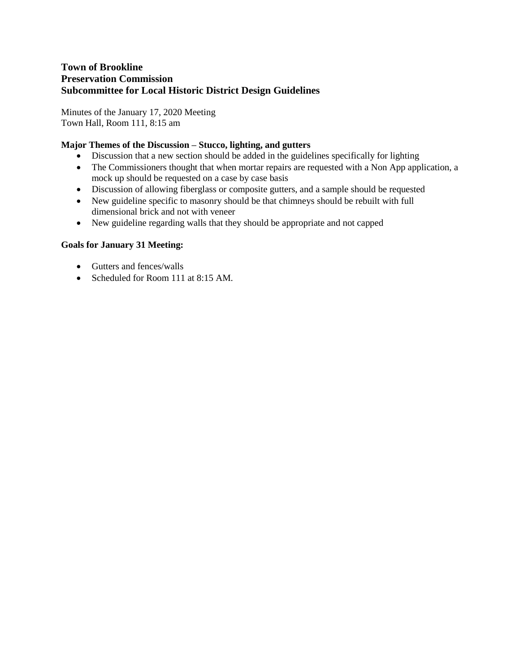Minutes of the January 17, 2020 Meeting Town Hall, Room 111, 8:15 am

# **Major Themes of the Discussion – Stucco, lighting, and gutters**

- Discussion that a new section should be added in the guidelines specifically for lighting
- The Commissioners thought that when mortar repairs are requested with a Non App application, a mock up should be requested on a case by case basis
- Discussion of allowing fiberglass or composite gutters, and a sample should be requested
- New guideline specific to masonry should be that chimneys should be rebuilt with full dimensional brick and not with veneer
- New guideline regarding walls that they should be appropriate and not capped

# **Goals for January 31 Meeting:**

- Gutters and fences/walls
- Scheduled for Room 111 at 8:15 AM.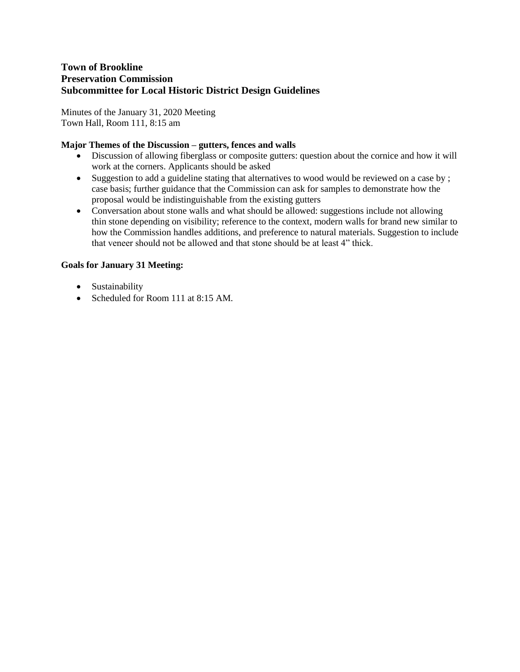Minutes of the January 31, 2020 Meeting Town Hall, Room 111, 8:15 am

# **Major Themes of the Discussion – gutters, fences and walls**

- Discussion of allowing fiberglass or composite gutters: question about the cornice and how it will work at the corners. Applicants should be asked
- Suggestion to add a guideline stating that alternatives to wood would be reviewed on a case by; case basis; further guidance that the Commission can ask for samples to demonstrate how the proposal would be indistinguishable from the existing gutters
- Conversation about stone walls and what should be allowed: suggestions include not allowing thin stone depending on visibility; reference to the context, modern walls for brand new similar to how the Commission handles additions, and preference to natural materials. Suggestion to include that veneer should not be allowed and that stone should be at least 4" thick.

# **Goals for January 31 Meeting:**

- Sustainability
- Scheduled for Room 111 at 8:15 AM.